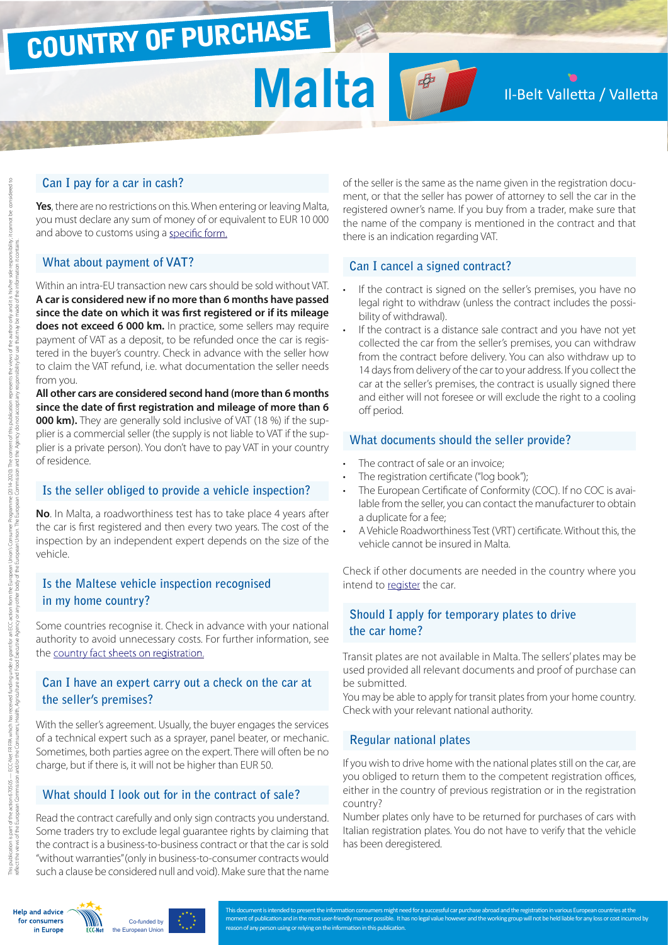# COUNTRY OF PURCHASE

# Malta **M**

### Il-Belt Valletta / Valletta

#### **Can I pay for a car in cash?**

**Yes**, there are no restrictions on this. When entering or leaving Malta, you must declare any sum of money of or equivalent to EUR 10 000 and above to customs using a [specific form.](http://ec.europa.eu/taxation_customs/resources/documents/customs/customs_controls/cash_controls/declaration_forms/declaration_form_mt_en.pdf)

#### **What about payment of VAT?**

Within an intra-EU transaction new cars should be sold without VAT. **A car is considered new if no more than 6 months have passed since the date on which it was first registered or if its mileage does not exceed 6 000 km.** In practice, some sellers may require payment of VAT as a deposit, to be refunded once the car is registered in the buyer's country. Check in advance with the seller how to claim the VAT refund, i.e. what documentation the seller needs from you.

**All other cars are considered second hand (more than 6 months since the date of first registration and mileage of more than 6 000 km).** They are generally sold inclusive of VAT (18 %) if the supplier is a commercial seller (the supply is not liable to VAT if the supplier is a private person). You don't have to pay VAT in your country of residence.

#### **Is the seller obliged to provide a vehicle inspection?**

**No**. In Malta, a roadworthiness test has to take place 4 years after the car is first registered and then every two years. The cost of the inspection by an independent expert depends on the size of the vehicle.

#### **Is the Maltese vehicle inspection recognised in my home country?**

Some countries recognise it. Check in advance with your national authority to avoid unnecessary costs. For further information, see the [country fact sheets on registration](http://www.europe-consommateurs.eu/en/consumer-topics/on-the-road/buying-a-car/cross-border-car-purchase-and-registration/).

#### **Can I have an expert carry out a check on the car at the seller's premises?**

With the seller's agreement. Usually, the buyer engages the services of a technical expert such as a sprayer, panel beater, or mechanic. Sometimes, both parties agree on the expert. There will often be no charge, but if there is, it will not be higher than EUR 50.

#### **What should I look out for in the contract of sale?**

Read the contract carefully and only sign contracts you understand. Some traders try to exclude legal guarantee rights by claiming that the contract is a business-to-business contract or that the car is sold "without warranties" (only in business-to-consumer contracts would such a clause be considered null and void). Make sure that the name

of the seller is the same as the name given in the registration document, or that the seller has power of attorney to sell the car in the registered owner's name. If you buy from a trader, make sure that the name of the company is mentioned in the contract and that there is an indication regarding VAT.

#### **Can I cancel a signed contract?**

- If the contract is signed on the seller's premises, you have no legal right to withdraw (unless the contract includes the possibility of withdrawal).
- If the contract is a distance sale contract and you have not yet collected the car from the seller's premises, you can withdraw from the contract before delivery. You can also withdraw up to 14 days from delivery of the car to your address. If you collect the car at the seller's premises, the contract is usually signed there and either will not foresee or will exclude the right to a cooling off period.

#### **What documents should the seller provide?**

- The contract of sale or an invoice:
- The registration certificate ("log book");
- The European Certificate of Conformity (COC). If no COC is available from the seller, you can contact the manufacturer to obtain a duplicate for a fee;
- A Vehicle Roadworthiness Test (VRT) certificate. Without this, the vehicle cannot be insured in Malta.

Check if other documents are needed in the country where you intend to [register](http://www.europe-consommateurs.eu/en/consumer-topics/on-the-road/buying-a-car/cross-border-car-purchase-and-registration/) the car.

#### **Should I apply for temporary plates to drive the car home?**

Transit plates are not available in Malta. The sellers' plates may be used provided all relevant documents and proof of purchase can be submitted.

You may be able to apply for transit plates from your home country. Check with your relevant national authority.

#### **Regular national plates**

If you wish to drive home with the national plates still on the car, are you obliged to return them to the competent registration offices, either in the country of previous registration or in the registration country?

Number plates only have to be returned for purchases of cars with Italian registration plates. You do not have to verify that the vehicle has been deregistered.